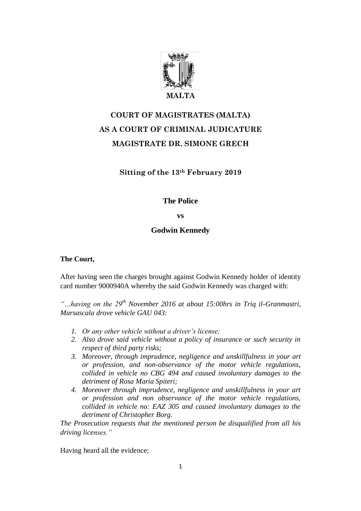

# **COURT OF MAGISTRATES (MALTA) AS A COURT OF CRIMINAL JUDICATURE MAGISTRATE DR. SIMONE GRECH**

# **Sitting of the 13th February 2019**

# **The Police**

## **vs**

# **Godwin Kennedy**

## **The Court,**

After having seen the charges brought against Godwin Kennedy holder of identity card number 9000940A whereby the said Godwin Kennedy was charged with:

*"…having on the 29th November 2016 at about 15:00hrs in Triq il-Granmastri, Marsascala drove vehicle GAU 043:* 

- *1. Or any other vehicle without a driver's license;*
- *2. Also drove said vehicle without a policy of insurance or such security in respect of third party risks;*
- *3. Moreover, through imprudence, negligence and unskillfulness in your art or profession, and non-observance of the motor vehicle regulations, collided in vehicle no CBG 494 and caused involuntary damages to the detriment of Rosa Maria Spiteri;*
- *4. Moreover through imprudence, negligence and unskillfulness in your art or profession and non observance of the motor vehicle regulations, collided in vehicle no: EAZ 305 and caused involuntary damages to the detriment of Christopher Borg.*

*The Prosecution requests that the mentioned person be disqualified from all his driving licenses."* 

Having heard all the evidence;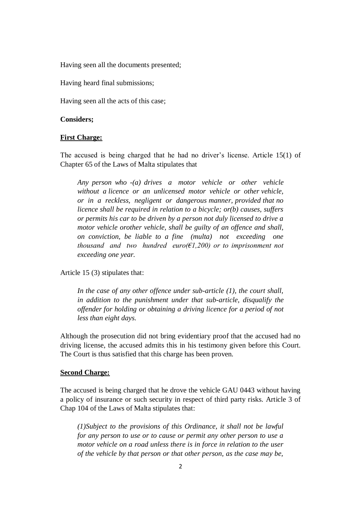Having seen all the documents presented;

Having heard final submissions;

Having seen all the acts of this case;

#### **Considers;**

#### **First Charge:**

The accused is being charged that he had no driver's license. Article 15(1) of Chapter 65 of the Laws of Malta stipulates that

*Any person who -(a) drives a motor vehicle or other vehicle without a licence or an unlicensed motor vehicle or other vehicle, or in a reckless, negligent or dangerous manner, provided that no licence shall be required in relation to a bicycle; or(b) causes, suffers or permits his car to be driven by a person not duly licensed to drive a motor vehicle orother vehicle, shall be guilty of an offence and shall, on conviction, be liable to a fine (multa) not exceeding one thousand and two hundred euro(* $E1,200$ *) or to imprisonment not exceeding one year.*

Article 15 (3) stipulates that:

*In the case of any other offence under sub-article (1), the court shall, in addition to the punishment under that sub-article, disqualify the offender for holding or obtaining a driving licence for a period of not less than eight days.*

Although the prosecution did not bring evidentiary proof that the accused had no driving license, the accused admits this in his testimony given before this Court. The Court is thus satisfied that this charge has been proven.

### **Second Charge:**

The accused is being charged that he drove the vehicle GAU 0443 without having a policy of insurance or such security in respect of third party risks. Article 3 of Chap 104 of the Laws of Malta stipulates that:

*(1)Subject to the provisions of this Ordinance, it shall not be lawful for any person to use or to cause or permit any other person to use a motor vehicle on a road unless there is in force in relation to the user of the vehicle by that person or that other person, as the case may be,*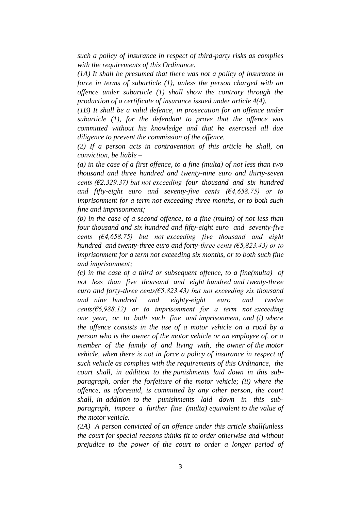*such a policy of insurance in respect of third-party risks as complies with the requirements of this Ordinance.*

*(1A) It shall be presumed that there was not a policy of insurance in force in terms of subarticle (1), unless the person charged with an offence under subarticle (1) shall show the contrary through the production of a certificate of insurance issued under article 4(4).*

*(1B) It shall be a valid defence, in prosecution for an offence under subarticle (1), for the defendant to prove that the offence was committed without his knowledge and that he exercised all due diligence to prevent the commission of the offence.*

*(2) If a person acts in contravention of this article he shall, on conviction, be liable –*

*(a) in the case of a first offence, to a fine (multa) of not less than two thousand and three hundred and twenty-nine euro and thirty-seven cents (€2,329.37) but not exceeding four thousand and six hundred and fifty-eight euro and seventy-five cents (€4,658.75) or to imprisonment for a term not exceeding three months, or to both such fine and imprisonment;*

*(b) in the case of a second offence, to a fine (multa) of not less than four thousand and six hundred and fifty-eight euro and seventy-five cents (€4,658.75) but not exceeding five thousand and eight hundred and twenty-three euro and forty-three cents (€5,823.43) or to imprisonment for a term not exceeding six months, or to both such fine and imprisonment;*

*(c) in the case of a third or subsequent offence, to a fine(multa) of not less than five thousand and eight hundred and twenty-three euro and forty-three cents(€5,823.43) but not exceeding six thousand and nine hundred and eighty-eight euro and twelve cents(€6,988.12) or to imprisonment for a term not exceeding one year, or to both such fine and imprisonment, and (i) where the offence consists in the use of a motor vehicle on a road by a person who is the owner of the motor vehicle or an employee of, or a member of the family of and living with, the owner of the motor vehicle, when there is not in force a policy of insurance in respect of such vehicle as complies with the requirements of this Ordinance, the court shall, in addition to the punishments laid down in this subparagraph, order the forfeiture of the motor vehicle; (ii) where the offence, as aforesaid, is committed by any other person, the court shall, in addition to the punishments laid down in this subparagraph, impose a further fine (multa) equivalent to the value of the motor vehicle.*

*(2A) A person convicted of an offence under this article shall(unless the court for special reasons thinks fit to order otherwise and without prejudice to the power of the court to order a longer period of*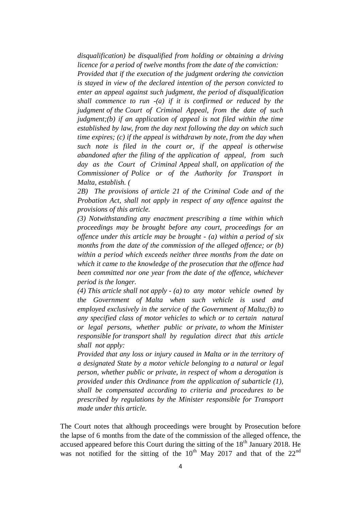*disqualification) be disqualified from holding or obtaining a driving licence for a period of twelve months from the date of the conviction:* 

*Provided that if the execution of the judgment ordering the conviction is stayed in view of the declared intention of the person convicted to enter an appeal against such judgment, the period of disqualification shall commence to run -(a) if it is confirmed or reduced by the judgment of the Court of Criminal Appeal, from the date of such judgment;(b) if an application of appeal is not filed within the time established by law, from the day next following the day on which such time expires; (c) if the appeal is withdrawn by note, from the day when such note is filed in the court or, if the appeal is otherwise abandoned after the filing of the application of appeal, from such day as the Court of Criminal Appeal shall, on application of the Commissioner of Police or of the Authority for Transport in Malta, establish. (*

*2B) The provisions of article 21 of the Criminal Code and of the Probation Act, shall not apply in respect of any offence against the provisions of this article.* 

*(3) Notwithstanding any enactment prescribing a time within which proceedings may be brought before any court, proceedings for an offence under this article may be brought - (a) within a period of six months from the date of the commission of the alleged offence; or (b) within a period which exceeds neither three months from the date on which it came to the knowledge of the prosecution that the offence had been committed nor one year from the date of the offence, whichever period is the longer.*

*(4) This article shall not apply - (a) to any motor vehicle owned by the Government of Malta when such vehicle is used and employed exclusively in the service of the Government of Malta;(b) to any specified class of motor vehicles to which or to certain natural or legal persons, whether public or private, to whom the Minister responsible for transport shall by regulation direct that this article shall not apply:*

*Provided that any loss or injury caused in Malta or in the territory of a designated State by a motor vehicle belonging to a natural or legal person, whether public or private, in respect of whom a derogation is provided under this Ordinance from the application of subarticle (1), shall be compensated according to criteria and procedures to be prescribed by regulations by the Minister responsible for Transport made under this article.* 

The Court notes that although proceedings were brought by Prosecution before the lapse of 6 months from the date of the commission of the alleged offence, the accused appeared before this Court during the sitting of the  $18<sup>th</sup>$  January 2018. He was not notified for the sitting of the  $10^{th}$  May 2017 and that of the  $22^{nd}$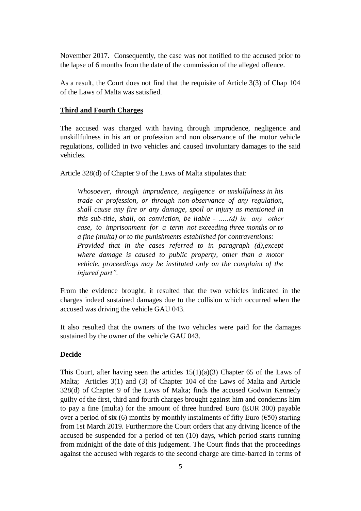November 2017. Consequently, the case was not notified to the accused prior to the lapse of 6 months from the date of the commission of the alleged offence.

As a result, the Court does not find that the requisite of Article 3(3) of Chap 104 of the Laws of Malta was satisfied.

#### **Third and Fourth Charges**

The accused was charged with having through imprudence, negligence and unskillfulness in his art or profession and non observance of the motor vehicle regulations, collided in two vehicles and caused involuntary damages to the said vehicles.

Article 328(d) of Chapter 9 of the Laws of Malta stipulates that:

*Whosoever, through imprudence, negligence or unskilfulness in his trade or profession, or through non-observance of any regulation, shall cause any fire or any damage, spoil or injury as mentioned in this sub-title, shall, on conviction, be liable - …..(d) in any other case, to imprisonment for a term not exceeding three months or to a fine (multa) or to the punishments established for contraventions: Provided that in the cases referred to in paragraph (d),except where damage is caused to public property, other than a motor vehicle, proceedings may be instituted only on the complaint of the injured part".* 

From the evidence brought, it resulted that the two vehicles indicated in the charges indeed sustained damages due to the collision which occurred when the accused was driving the vehicle GAU 043.

It also resulted that the owners of the two vehicles were paid for the damages sustained by the owner of the vehicle GAU 043.

#### **Decide**

This Court, after having seen the articles  $15(1)(a)(3)$  Chapter 65 of the Laws of Malta; Articles 3(1) and (3) of Chapter 104 of the Laws of Malta and Article 328(d) of Chapter 9 of the Laws of Malta; finds the accused Godwin Kennedy guilty of the first, third and fourth charges brought against him and condemns him to pay a fine (multa) for the amount of three hundred Euro (EUR 300) payable over a period of six (6) months by monthly instalments of fifty Euro ( $\epsilon$ 50) starting from 1st March 2019. Furthermore the Court orders that any driving licence of the accused be suspended for a period of ten (10) days, which period starts running from midnight of the date of this judgement. The Court finds that the proceedings against the accused with regards to the second charge are time-barred in terms of